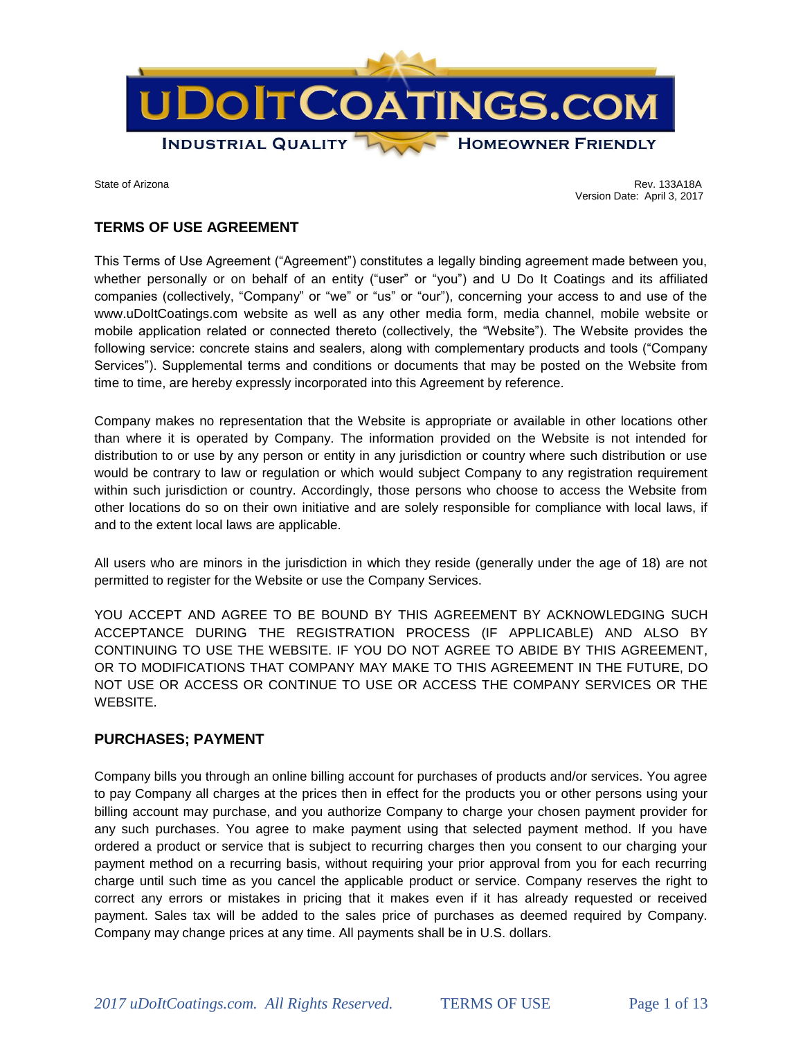

State of Arizona Rev. 133A18A Version Date: April 3, 2017

# **TERMS OF USE AGREEMENT**

This Terms of Use Agreement ("Agreement") constitutes a legally binding agreement made between you, whether personally or on behalf of an entity ("user" or "you") and U Do It Coatings and its affiliated companies (collectively, "Company" or "we" or "us" or "our"), concerning your access to and use of the www.uDoItCoatings.com website as well as any other media form, media channel, mobile website or mobile application related or connected thereto (collectively, the "Website"). The Website provides the following service: concrete stains and sealers, along with complementary products and tools ("Company Services"). Supplemental terms and conditions or documents that may be posted on the Website from time to time, are hereby expressly incorporated into this Agreement by reference.

Company makes no representation that the Website is appropriate or available in other locations other than where it is operated by Company. The information provided on the Website is not intended for distribution to or use by any person or entity in any jurisdiction or country where such distribution or use would be contrary to law or regulation or which would subject Company to any registration requirement within such jurisdiction or country. Accordingly, those persons who choose to access the Website from other locations do so on their own initiative and are solely responsible for compliance with local laws, if and to the extent local laws are applicable.

All users who are minors in the jurisdiction in which they reside (generally under the age of 18) are not permitted to register for the Website or use the Company Services.

YOU ACCEPT AND AGREE TO BE BOUND BY THIS AGREEMENT BY ACKNOWLEDGING SUCH ACCEPTANCE DURING THE REGISTRATION PROCESS (IF APPLICABLE) AND ALSO BY CONTINUING TO USE THE WEBSITE. IF YOU DO NOT AGREE TO ABIDE BY THIS AGREEMENT, OR TO MODIFICATIONS THAT COMPANY MAY MAKE TO THIS AGREEMENT IN THE FUTURE, DO NOT USE OR ACCESS OR CONTINUE TO USE OR ACCESS THE COMPANY SERVICES OR THE WEBSITE.

## **PURCHASES; PAYMENT**

Company bills you through an online billing account for purchases of products and/or services. You agree to pay Company all charges at the prices then in effect for the products you or other persons using your billing account may purchase, and you authorize Company to charge your chosen payment provider for any such purchases. You agree to make payment using that selected payment method. If you have ordered a product or service that is subject to recurring charges then you consent to our charging your payment method on a recurring basis, without requiring your prior approval from you for each recurring charge until such time as you cancel the applicable product or service. Company reserves the right to correct any errors or mistakes in pricing that it makes even if it has already requested or received payment. Sales tax will be added to the sales price of purchases as deemed required by Company. Company may change prices at any time. All payments shall be in U.S. dollars.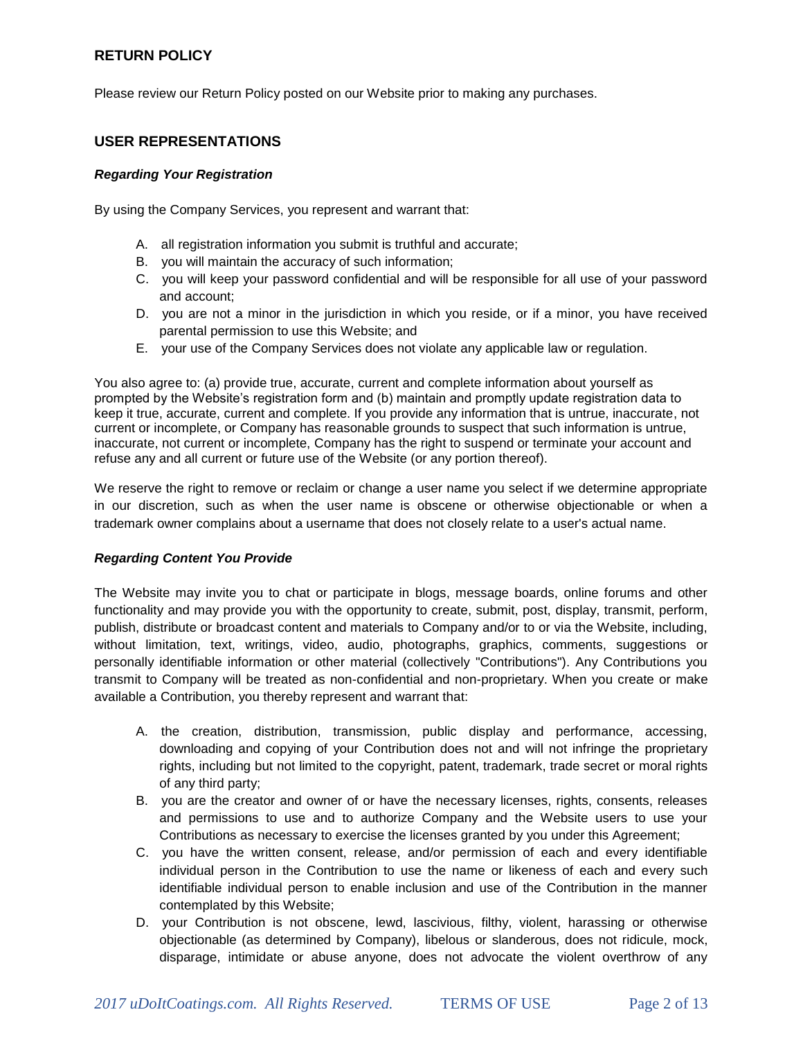## **RETURN POLICY**

Please review our Return Policy posted on our Website prior to making any purchases.

## **USER REPRESENTATIONS**

#### *Regarding Your Registration*

By using the Company Services, you represent and warrant that:

- A. all registration information you submit is truthful and accurate;
- B. you will maintain the accuracy of such information;
- C. you will keep your password confidential and will be responsible for all use of your password and account;
- D. you are not a minor in the jurisdiction in which you reside, or if a minor, you have received parental permission to use this Website; and
- E. your use of the Company Services does not violate any applicable law or regulation.

You also agree to: (a) provide true, accurate, current and complete information about yourself as prompted by the Website's registration form and (b) maintain and promptly update registration data to keep it true, accurate, current and complete. If you provide any information that is untrue, inaccurate, not current or incomplete, or Company has reasonable grounds to suspect that such information is untrue, inaccurate, not current or incomplete, Company has the right to suspend or terminate your account and refuse any and all current or future use of the Website (or any portion thereof).

We reserve the right to remove or reclaim or change a user name you select if we determine appropriate in our discretion, such as when the user name is obscene or otherwise objectionable or when a trademark owner complains about a username that does not closely relate to a user's actual name.

#### *Regarding Content You Provide*

The Website may invite you to chat or participate in blogs, message boards, online forums and other functionality and may provide you with the opportunity to create, submit, post, display, transmit, perform, publish, distribute or broadcast content and materials to Company and/or to or via the Website, including, without limitation, text, writings, video, audio, photographs, graphics, comments, suggestions or personally identifiable information or other material (collectively "Contributions"). Any Contributions you transmit to Company will be treated as non-confidential and non-proprietary. When you create or make available a Contribution, you thereby represent and warrant that:

- A. the creation, distribution, transmission, public display and performance, accessing, downloading and copying of your Contribution does not and will not infringe the proprietary rights, including but not limited to the copyright, patent, trademark, trade secret or moral rights of any third party;
- B. you are the creator and owner of or have the necessary licenses, rights, consents, releases and permissions to use and to authorize Company and the Website users to use your Contributions as necessary to exercise the licenses granted by you under this Agreement;
- C. you have the written consent, release, and/or permission of each and every identifiable individual person in the Contribution to use the name or likeness of each and every such identifiable individual person to enable inclusion and use of the Contribution in the manner contemplated by this Website;
- D. your Contribution is not obscene, lewd, lascivious, filthy, violent, harassing or otherwise objectionable (as determined by Company), libelous or slanderous, does not ridicule, mock, disparage, intimidate or abuse anyone, does not advocate the violent overthrow of any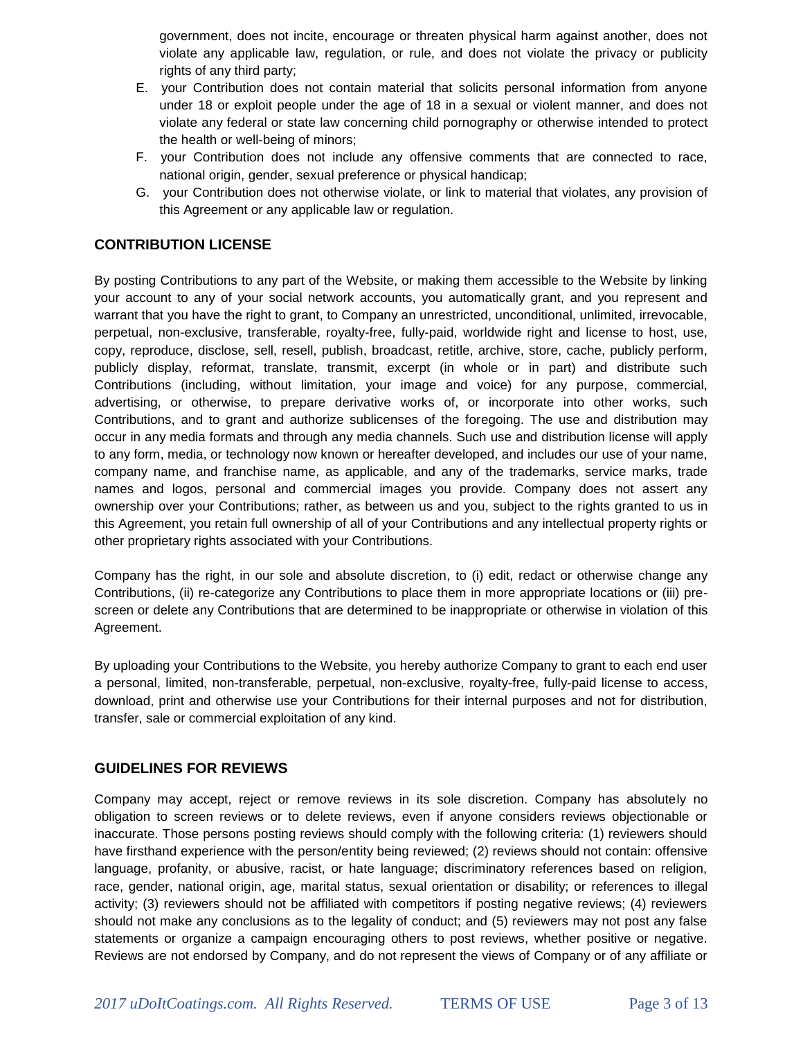government, does not incite, encourage or threaten physical harm against another, does not violate any applicable law, regulation, or rule, and does not violate the privacy or publicity rights of any third party;

- E. your Contribution does not contain material that solicits personal information from anyone under 18 or exploit people under the age of 18 in a sexual or violent manner, and does not violate any federal or state law concerning child pornography or otherwise intended to protect the health or well-being of minors;
- F. your Contribution does not include any offensive comments that are connected to race, national origin, gender, sexual preference or physical handicap;
- G. your Contribution does not otherwise violate, or link to material that violates, any provision of this Agreement or any applicable law or regulation.

# **CONTRIBUTION LICENSE**

By posting Contributions to any part of the Website, or making them accessible to the Website by linking your account to any of your social network accounts, you automatically grant, and you represent and warrant that you have the right to grant, to Company an unrestricted, unconditional, unlimited, irrevocable, perpetual, non-exclusive, transferable, royalty-free, fully-paid, worldwide right and license to host, use, copy, reproduce, disclose, sell, resell, publish, broadcast, retitle, archive, store, cache, publicly perform, publicly display, reformat, translate, transmit, excerpt (in whole or in part) and distribute such Contributions (including, without limitation, your image and voice) for any purpose, commercial, advertising, or otherwise, to prepare derivative works of, or incorporate into other works, such Contributions, and to grant and authorize sublicenses of the foregoing. The use and distribution may occur in any media formats and through any media channels. Such use and distribution license will apply to any form, media, or technology now known or hereafter developed, and includes our use of your name, company name, and franchise name, as applicable, and any of the trademarks, service marks, trade names and logos, personal and commercial images you provide. Company does not assert any ownership over your Contributions; rather, as between us and you, subject to the rights granted to us in this Agreement, you retain full ownership of all of your Contributions and any intellectual property rights or other proprietary rights associated with your Contributions.

Company has the right, in our sole and absolute discretion, to (i) edit, redact or otherwise change any Contributions, (ii) re-categorize any Contributions to place them in more appropriate locations or (iii) prescreen or delete any Contributions that are determined to be inappropriate or otherwise in violation of this Agreement.

By uploading your Contributions to the Website, you hereby authorize Company to grant to each end user a personal, limited, non-transferable, perpetual, non-exclusive, royalty-free, fully-paid license to access, download, print and otherwise use your Contributions for their internal purposes and not for distribution, transfer, sale or commercial exploitation of any kind.

# **GUIDELINES FOR REVIEWS**

Company may accept, reject or remove reviews in its sole discretion. Company has absolutely no obligation to screen reviews or to delete reviews, even if anyone considers reviews objectionable or inaccurate. Those persons posting reviews should comply with the following criteria: (1) reviewers should have firsthand experience with the person/entity being reviewed; (2) reviews should not contain: offensive language, profanity, or abusive, racist, or hate language; discriminatory references based on religion, race, gender, national origin, age, marital status, sexual orientation or disability; or references to illegal activity; (3) reviewers should not be affiliated with competitors if posting negative reviews; (4) reviewers should not make any conclusions as to the legality of conduct; and (5) reviewers may not post any false statements or organize a campaign encouraging others to post reviews, whether positive or negative. Reviews are not endorsed by Company, and do not represent the views of Company or of any affiliate or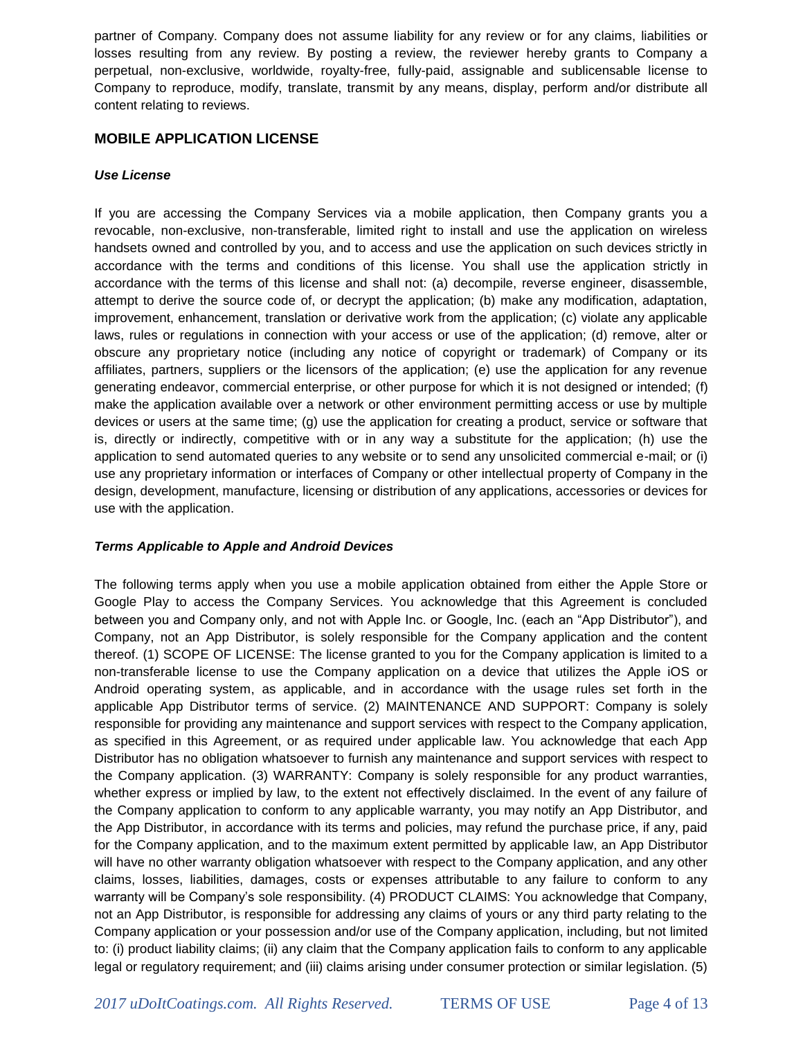partner of Company. Company does not assume liability for any review or for any claims, liabilities or losses resulting from any review. By posting a review, the reviewer hereby grants to Company a perpetual, non-exclusive, worldwide, royalty-free, fully-paid, assignable and sublicensable license to Company to reproduce, modify, translate, transmit by any means, display, perform and/or distribute all content relating to reviews.

## **MOBILE APPLICATION LICENSE**

#### *Use License*

If you are accessing the Company Services via a mobile application, then Company grants you a revocable, non-exclusive, non-transferable, limited right to install and use the application on wireless handsets owned and controlled by you, and to access and use the application on such devices strictly in accordance with the terms and conditions of this license. You shall use the application strictly in accordance with the terms of this license and shall not: (a) decompile, reverse engineer, disassemble, attempt to derive the source code of, or decrypt the application; (b) make any modification, adaptation, improvement, enhancement, translation or derivative work from the application; (c) violate any applicable laws, rules or regulations in connection with your access or use of the application; (d) remove, alter or obscure any proprietary notice (including any notice of copyright or trademark) of Company or its affiliates, partners, suppliers or the licensors of the application; (e) use the application for any revenue generating endeavor, commercial enterprise, or other purpose for which it is not designed or intended; (f) make the application available over a network or other environment permitting access or use by multiple devices or users at the same time; (g) use the application for creating a product, service or software that is, directly or indirectly, competitive with or in any way a substitute for the application; (h) use the application to send automated queries to any website or to send any unsolicited commercial e-mail; or (i) use any proprietary information or interfaces of Company or other intellectual property of Company in the design, development, manufacture, licensing or distribution of any applications, accessories or devices for use with the application.

#### *Terms Applicable to Apple and Android Devices*

The following terms apply when you use a mobile application obtained from either the Apple Store or Google Play to access the Company Services. You acknowledge that this Agreement is concluded between you and Company only, and not with Apple Inc. or Google, Inc. (each an "App Distributor"), and Company, not an App Distributor, is solely responsible for the Company application and the content thereof. (1) SCOPE OF LICENSE: The license granted to you for the Company application is limited to a non-transferable license to use the Company application on a device that utilizes the Apple iOS or Android operating system, as applicable, and in accordance with the usage rules set forth in the applicable App Distributor terms of service. (2) MAINTENANCE AND SUPPORT: Company is solely responsible for providing any maintenance and support services with respect to the Company application, as specified in this Agreement, or as required under applicable law. You acknowledge that each App Distributor has no obligation whatsoever to furnish any maintenance and support services with respect to the Company application. (3) WARRANTY: Company is solely responsible for any product warranties, whether express or implied by law, to the extent not effectively disclaimed. In the event of any failure of the Company application to conform to any applicable warranty, you may notify an App Distributor, and the App Distributor, in accordance with its terms and policies, may refund the purchase price, if any, paid for the Company application, and to the maximum extent permitted by applicable law, an App Distributor will have no other warranty obligation whatsoever with respect to the Company application, and any other claims, losses, liabilities, damages, costs or expenses attributable to any failure to conform to any warranty will be Company's sole responsibility. (4) PRODUCT CLAIMS: You acknowledge that Company, not an App Distributor, is responsible for addressing any claims of yours or any third party relating to the Company application or your possession and/or use of the Company application, including, but not limited to: (i) product liability claims; (ii) any claim that the Company application fails to conform to any applicable legal or regulatory requirement; and (iii) claims arising under consumer protection or similar legislation. (5)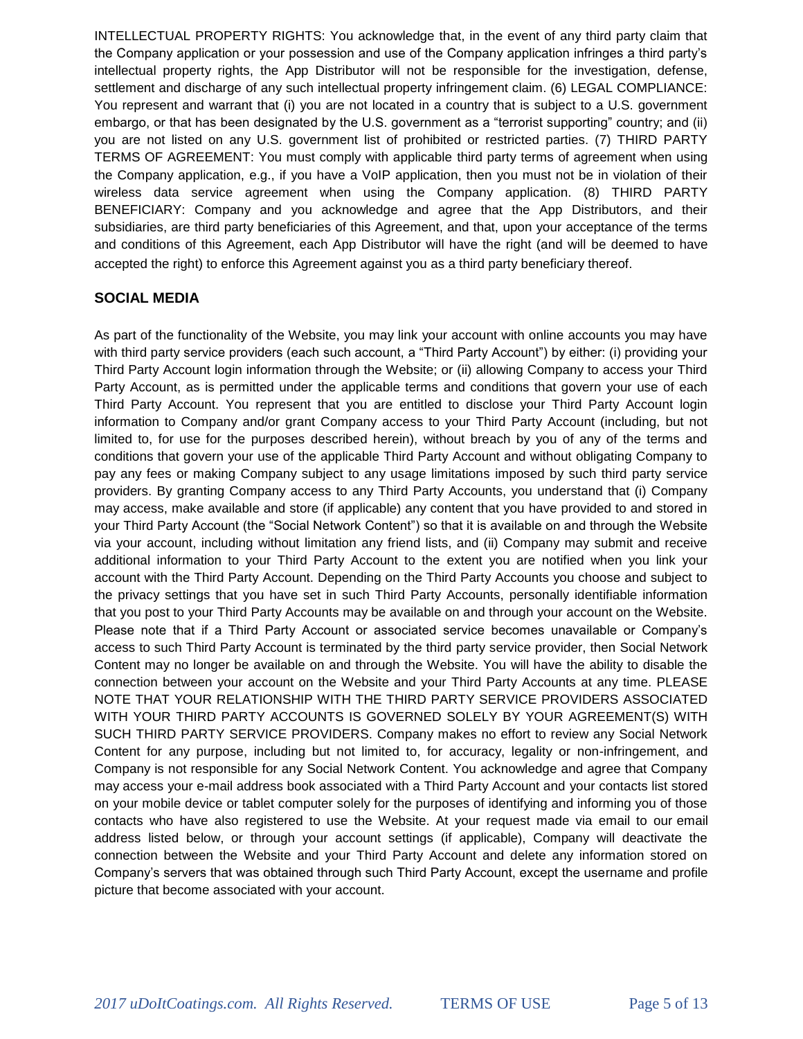INTELLECTUAL PROPERTY RIGHTS: You acknowledge that, in the event of any third party claim that the Company application or your possession and use of the Company application infringes a third party's intellectual property rights, the App Distributor will not be responsible for the investigation, defense, settlement and discharge of any such intellectual property infringement claim. (6) LEGAL COMPLIANCE: You represent and warrant that (i) you are not located in a country that is subject to a U.S. government embargo, or that has been designated by the U.S. government as a "terrorist supporting" country; and (ii) you are not listed on any U.S. government list of prohibited or restricted parties. (7) THIRD PARTY TERMS OF AGREEMENT: You must comply with applicable third party terms of agreement when using the Company application, e.g., if you have a VoIP application, then you must not be in violation of their wireless data service agreement when using the Company application. (8) THIRD PARTY BENEFICIARY: Company and you acknowledge and agree that the App Distributors, and their subsidiaries, are third party beneficiaries of this Agreement, and that, upon your acceptance of the terms and conditions of this Agreement, each App Distributor will have the right (and will be deemed to have accepted the right) to enforce this Agreement against you as a third party beneficiary thereof.

# **SOCIAL MEDIA**

As part of the functionality of the Website, you may link your account with online accounts you may have with third party service providers (each such account, a "Third Party Account") by either: (i) providing your Third Party Account login information through the Website; or (ii) allowing Company to access your Third Party Account, as is permitted under the applicable terms and conditions that govern your use of each Third Party Account. You represent that you are entitled to disclose your Third Party Account login information to Company and/or grant Company access to your Third Party Account (including, but not limited to, for use for the purposes described herein), without breach by you of any of the terms and conditions that govern your use of the applicable Third Party Account and without obligating Company to pay any fees or making Company subject to any usage limitations imposed by such third party service providers. By granting Company access to any Third Party Accounts, you understand that (i) Company may access, make available and store (if applicable) any content that you have provided to and stored in your Third Party Account (the "Social Network Content") so that it is available on and through the Website via your account, including without limitation any friend lists, and (ii) Company may submit and receive additional information to your Third Party Account to the extent you are notified when you link your account with the Third Party Account. Depending on the Third Party Accounts you choose and subject to the privacy settings that you have set in such Third Party Accounts, personally identifiable information that you post to your Third Party Accounts may be available on and through your account on the Website. Please note that if a Third Party Account or associated service becomes unavailable or Company's access to such Third Party Account is terminated by the third party service provider, then Social Network Content may no longer be available on and through the Website. You will have the ability to disable the connection between your account on the Website and your Third Party Accounts at any time. PLEASE NOTE THAT YOUR RELATIONSHIP WITH THE THIRD PARTY SERVICE PROVIDERS ASSOCIATED WITH YOUR THIRD PARTY ACCOUNTS IS GOVERNED SOLELY BY YOUR AGREEMENT(S) WITH SUCH THIRD PARTY SERVICE PROVIDERS. Company makes no effort to review any Social Network Content for any purpose, including but not limited to, for accuracy, legality or non-infringement, and Company is not responsible for any Social Network Content. You acknowledge and agree that Company may access your e-mail address book associated with a Third Party Account and your contacts list stored on your mobile device or tablet computer solely for the purposes of identifying and informing you of those contacts who have also registered to use the Website. At your request made via email to our email address listed below, or through your account settings (if applicable), Company will deactivate the connection between the Website and your Third Party Account and delete any information stored on Company's servers that was obtained through such Third Party Account, except the username and profile picture that become associated with your account.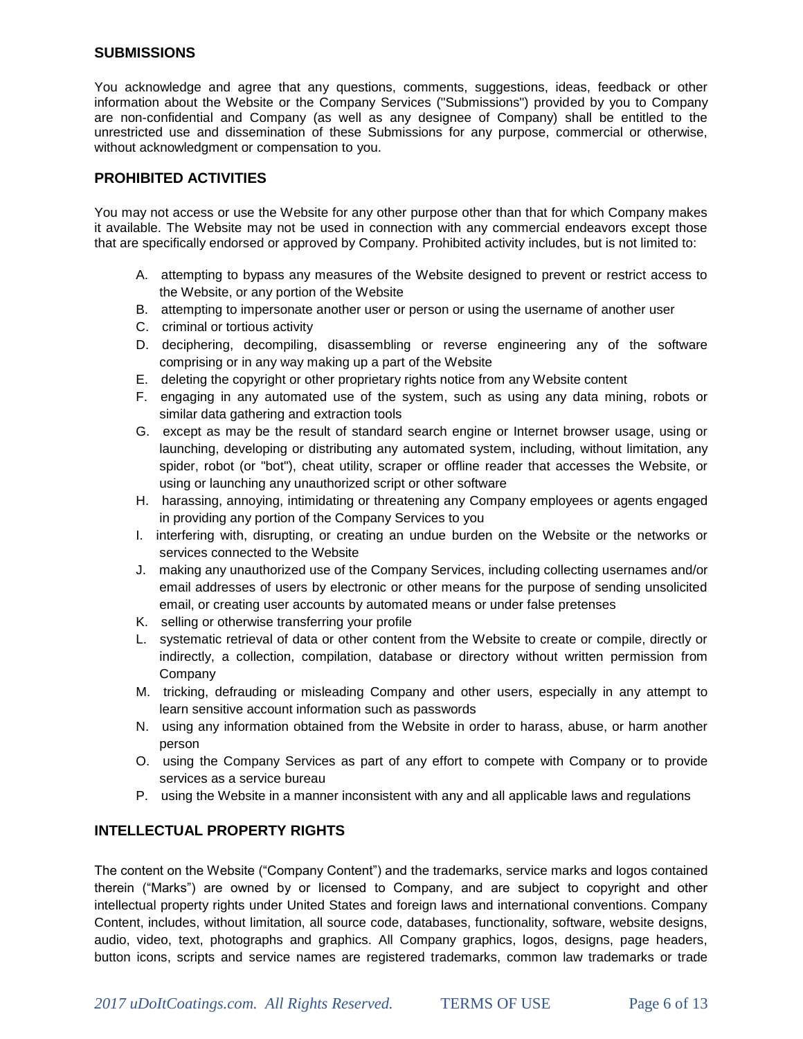## **SUBMISSIONS**

You acknowledge and agree that any questions, comments, suggestions, ideas, feedback or other information about the Website or the Company Services ("Submissions") provided by you to Company are non-confidential and Company (as well as any designee of Company) shall be entitled to the unrestricted use and dissemination of these Submissions for any purpose, commercial or otherwise, without acknowledgment or compensation to you.

### **PROHIBITED ACTIVITIES**

You may not access or use the Website for any other purpose other than that for which Company makes it available. The Website may not be used in connection with any commercial endeavors except those that are specifically endorsed or approved by Company. Prohibited activity includes, but is not limited to:

- A. attempting to bypass any measures of the Website designed to prevent or restrict access to the Website, or any portion of the Website
- B. attempting to impersonate another user or person or using the username of another user
- C. criminal or tortious activity
- D. deciphering, decompiling, disassembling or reverse engineering any of the software comprising or in any way making up a part of the Website
- E. deleting the copyright or other proprietary rights notice from any Website content
- F. engaging in any automated use of the system, such as using any data mining, robots or similar data gathering and extraction tools
- G. except as may be the result of standard search engine or Internet browser usage, using or launching, developing or distributing any automated system, including, without limitation, any spider, robot (or "bot"), cheat utility, scraper or offline reader that accesses the Website, or using or launching any unauthorized script or other software
- H. harassing, annoying, intimidating or threatening any Company employees or agents engaged in providing any portion of the Company Services to you
- I. interfering with, disrupting, or creating an undue burden on the Website or the networks or services connected to the Website
- J. making any unauthorized use of the Company Services, including collecting usernames and/or email addresses of users by electronic or other means for the purpose of sending unsolicited email, or creating user accounts by automated means or under false pretenses
- K. selling or otherwise transferring your profile
- L. systematic retrieval of data or other content from the Website to create or compile, directly or indirectly, a collection, compilation, database or directory without written permission from Company
- M. tricking, defrauding or misleading Company and other users, especially in any attempt to learn sensitive account information such as passwords
- N. using any information obtained from the Website in order to harass, abuse, or harm another person
- O. using the Company Services as part of any effort to compete with Company or to provide services as a service bureau
- P. using the Website in a manner inconsistent with any and all applicable laws and regulations

## **INTELLECTUAL PROPERTY RIGHTS**

The content on the Website ("Company Content") and the trademarks, service marks and logos contained therein ("Marks") are owned by or licensed to Company, and are subject to copyright and other intellectual property rights under United States and foreign laws and international conventions. Company Content, includes, without limitation, all source code, databases, functionality, software, website designs, audio, video, text, photographs and graphics. All Company graphics, logos, designs, page headers, button icons, scripts and service names are registered trademarks, common law trademarks or trade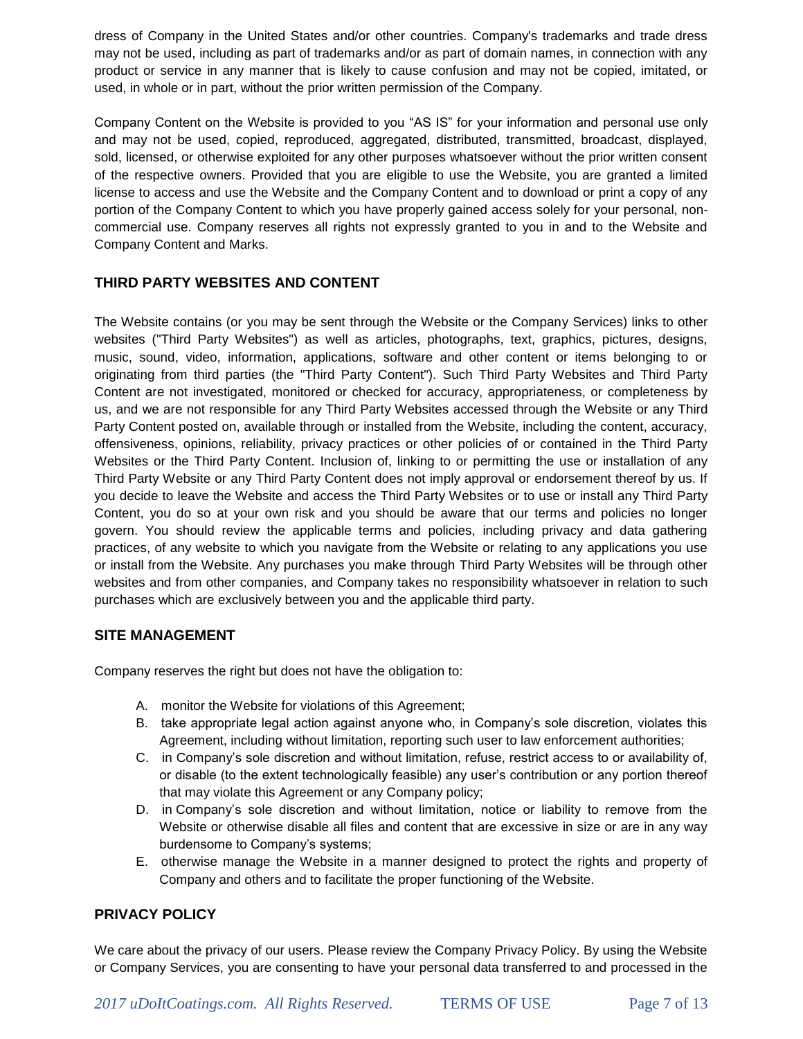dress of Company in the United States and/or other countries. Company's trademarks and trade dress may not be used, including as part of trademarks and/or as part of domain names, in connection with any product or service in any manner that is likely to cause confusion and may not be copied, imitated, or used, in whole or in part, without the prior written permission of the Company.

Company Content on the Website is provided to you "AS IS" for your information and personal use only and may not be used, copied, reproduced, aggregated, distributed, transmitted, broadcast, displayed, sold, licensed, or otherwise exploited for any other purposes whatsoever without the prior written consent of the respective owners. Provided that you are eligible to use the Website, you are granted a limited license to access and use the Website and the Company Content and to download or print a copy of any portion of the Company Content to which you have properly gained access solely for your personal, noncommercial use. Company reserves all rights not expressly granted to you in and to the Website and Company Content and Marks.

# **THIRD PARTY WEBSITES AND CONTENT**

The Website contains (or you may be sent through the Website or the Company Services) links to other websites ("Third Party Websites") as well as articles, photographs, text, graphics, pictures, designs, music, sound, video, information, applications, software and other content or items belonging to or originating from third parties (the "Third Party Content"). Such Third Party Websites and Third Party Content are not investigated, monitored or checked for accuracy, appropriateness, or completeness by us, and we are not responsible for any Third Party Websites accessed through the Website or any Third Party Content posted on, available through or installed from the Website, including the content, accuracy, offensiveness, opinions, reliability, privacy practices or other policies of or contained in the Third Party Websites or the Third Party Content. Inclusion of, linking to or permitting the use or installation of any Third Party Website or any Third Party Content does not imply approval or endorsement thereof by us. If you decide to leave the Website and access the Third Party Websites or to use or install any Third Party Content, you do so at your own risk and you should be aware that our terms and policies no longer govern. You should review the applicable terms and policies, including privacy and data gathering practices, of any website to which you navigate from the Website or relating to any applications you use or install from the Website. Any purchases you make through Third Party Websites will be through other websites and from other companies, and Company takes no responsibility whatsoever in relation to such purchases which are exclusively between you and the applicable third party.

# **SITE MANAGEMENT**

Company reserves the right but does not have the obligation to:

- A. monitor the Website for violations of this Agreement;
- B. take appropriate legal action against anyone who, in Company's sole discretion, violates this Agreement, including without limitation, reporting such user to law enforcement authorities;
- C. in Company's sole discretion and without limitation, refuse, restrict access to or availability of, or disable (to the extent technologically feasible) any user's contribution or any portion thereof that may violate this Agreement or any Company policy;
- D. in Company's sole discretion and without limitation, notice or liability to remove from the Website or otherwise disable all files and content that are excessive in size or are in any way burdensome to Company's systems;
- E. otherwise manage the Website in a manner designed to protect the rights and property of Company and others and to facilitate the proper functioning of the Website.

## **PRIVACY POLICY**

We care about the privacy of our users. Please review the Company Privacy Policy. By using the Website or Company Services, you are consenting to have your personal data transferred to and processed in the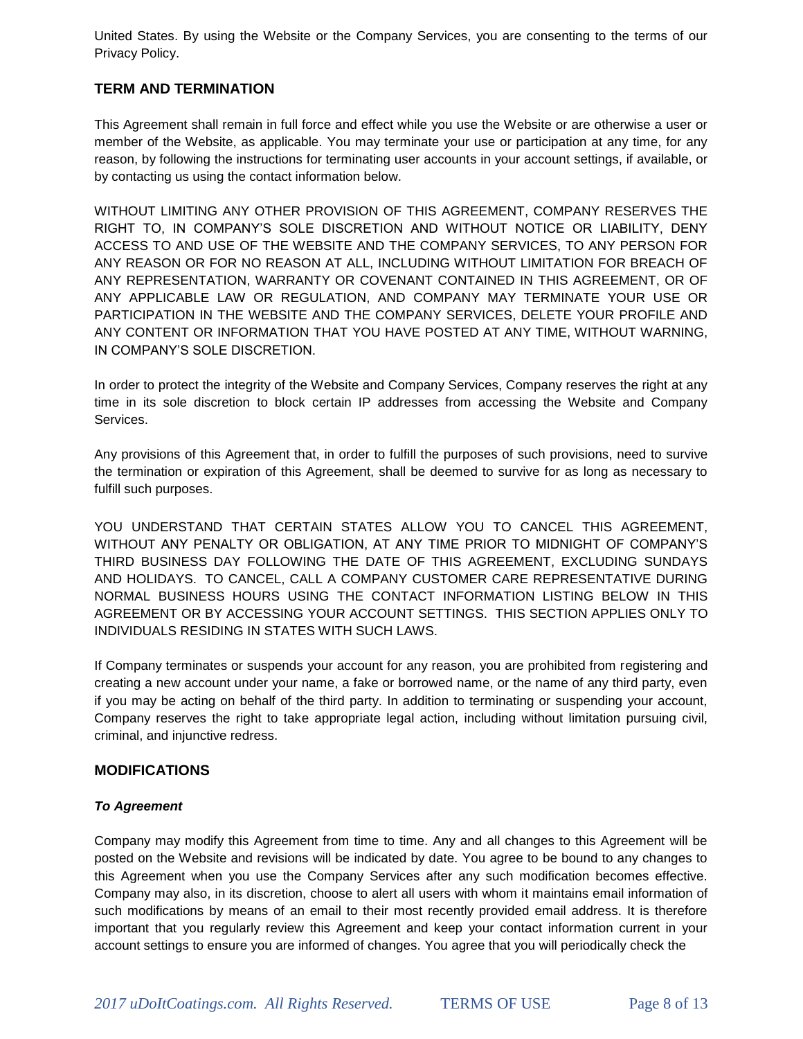United States. By using the Website or the Company Services, you are consenting to the terms of our Privacy Policy.

## **TERM AND TERMINATION**

This Agreement shall remain in full force and effect while you use the Website or are otherwise a user or member of the Website, as applicable. You may terminate your use or participation at any time, for any reason, by following the instructions for terminating user accounts in your account settings, if available, or by contacting us using the contact information below.

WITHOUT LIMITING ANY OTHER PROVISION OF THIS AGREEMENT, COMPANY RESERVES THE RIGHT TO, IN COMPANY'S SOLE DISCRETION AND WITHOUT NOTICE OR LIABILITY, DENY ACCESS TO AND USE OF THE WEBSITE AND THE COMPANY SERVICES, TO ANY PERSON FOR ANY REASON OR FOR NO REASON AT ALL, INCLUDING WITHOUT LIMITATION FOR BREACH OF ANY REPRESENTATION, WARRANTY OR COVENANT CONTAINED IN THIS AGREEMENT, OR OF ANY APPLICABLE LAW OR REGULATION, AND COMPANY MAY TERMINATE YOUR USE OR PARTICIPATION IN THE WEBSITE AND THE COMPANY SERVICES, DELETE YOUR PROFILE AND ANY CONTENT OR INFORMATION THAT YOU HAVE POSTED AT ANY TIME, WITHOUT WARNING, IN COMPANY'S SOLE DISCRETION.

In order to protect the integrity of the Website and Company Services, Company reserves the right at any time in its sole discretion to block certain IP addresses from accessing the Website and Company Services.

Any provisions of this Agreement that, in order to fulfill the purposes of such provisions, need to survive the termination or expiration of this Agreement, shall be deemed to survive for as long as necessary to fulfill such purposes.

YOU UNDERSTAND THAT CERTAIN STATES ALLOW YOU TO CANCEL THIS AGREEMENT, WITHOUT ANY PENALTY OR OBLIGATION, AT ANY TIME PRIOR TO MIDNIGHT OF COMPANY'S THIRD BUSINESS DAY FOLLOWING THE DATE OF THIS AGREEMENT, EXCLUDING SUNDAYS AND HOLIDAYS. TO CANCEL, CALL A COMPANY CUSTOMER CARE REPRESENTATIVE DURING NORMAL BUSINESS HOURS USING THE CONTACT INFORMATION LISTING BELOW IN THIS AGREEMENT OR BY ACCESSING YOUR ACCOUNT SETTINGS. THIS SECTION APPLIES ONLY TO INDIVIDUALS RESIDING IN STATES WITH SUCH LAWS.

If Company terminates or suspends your account for any reason, you are prohibited from registering and creating a new account under your name, a fake or borrowed name, or the name of any third party, even if you may be acting on behalf of the third party. In addition to terminating or suspending your account, Company reserves the right to take appropriate legal action, including without limitation pursuing civil, criminal, and injunctive redress.

## **MODIFICATIONS**

#### *To Agreement*

Company may modify this Agreement from time to time. Any and all changes to this Agreement will be posted on the Website and revisions will be indicated by date. You agree to be bound to any changes to this Agreement when you use the Company Services after any such modification becomes effective. Company may also, in its discretion, choose to alert all users with whom it maintains email information of such modifications by means of an email to their most recently provided email address. It is therefore important that you regularly review this Agreement and keep your contact information current in your account settings to ensure you are informed of changes. You agree that you will periodically check the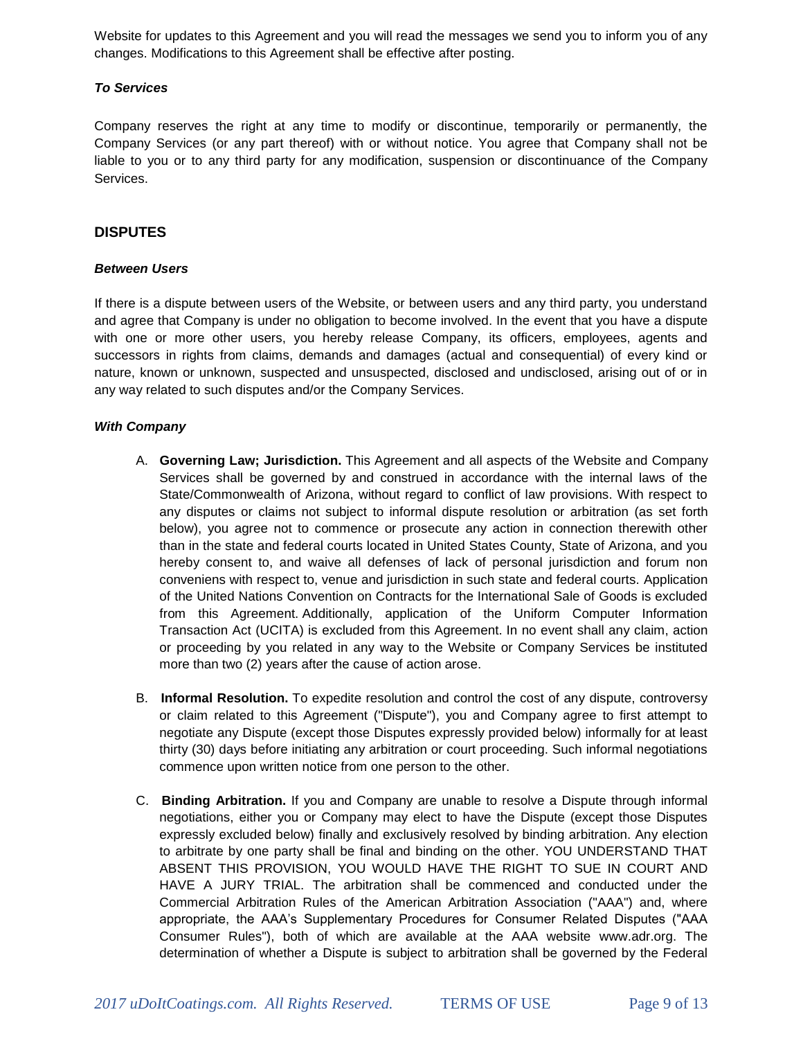Website for updates to this Agreement and you will read the messages we send you to inform you of any changes. Modifications to this Agreement shall be effective after posting.

### *To Services*

Company reserves the right at any time to modify or discontinue, temporarily or permanently, the Company Services (or any part thereof) with or without notice. You agree that Company shall not be liable to you or to any third party for any modification, suspension or discontinuance of the Company Services.

## **DISPUTES**

#### *Between Users*

If there is a dispute between users of the Website, or between users and any third party, you understand and agree that Company is under no obligation to become involved. In the event that you have a dispute with one or more other users, you hereby release Company, its officers, employees, agents and successors in rights from claims, demands and damages (actual and consequential) of every kind or nature, known or unknown, suspected and unsuspected, disclosed and undisclosed, arising out of or in any way related to such disputes and/or the Company Services.

### *With Company*

- A. **Governing Law; Jurisdiction.** This Agreement and all aspects of the Website and Company Services shall be governed by and construed in accordance with the internal laws of the State/Commonwealth of Arizona, without regard to conflict of law provisions. With respect to any disputes or claims not subject to informal dispute resolution or arbitration (as set forth below), you agree not to commence or prosecute any action in connection therewith other than in the state and federal courts located in United States County, State of Arizona, and you hereby consent to, and waive all defenses of lack of personal jurisdiction and forum non conveniens with respect to, venue and jurisdiction in such state and federal courts. Application of the United Nations Convention on Contracts for the International Sale of Goods is excluded from this Agreement. Additionally, application of the Uniform Computer Information Transaction Act (UCITA) is excluded from this Agreement. In no event shall any claim, action or proceeding by you related in any way to the Website or Company Services be instituted more than two (2) years after the cause of action arose.
- B. **Informal Resolution.** To expedite resolution and control the cost of any dispute, controversy or claim related to this Agreement ("Dispute"), you and Company agree to first attempt to negotiate any Dispute (except those Disputes expressly provided below) informally for at least thirty (30) days before initiating any arbitration or court proceeding. Such informal negotiations commence upon written notice from one person to the other.
- C. **Binding Arbitration.** If you and Company are unable to resolve a Dispute through informal negotiations, either you or Company may elect to have the Dispute (except those Disputes expressly excluded below) finally and exclusively resolved by binding arbitration. Any election to arbitrate by one party shall be final and binding on the other. YOU UNDERSTAND THAT ABSENT THIS PROVISION, YOU WOULD HAVE THE RIGHT TO SUE IN COURT AND HAVE A JURY TRIAL. The arbitration shall be commenced and conducted under the Commercial Arbitration Rules of the American Arbitration Association ("AAA") and, where appropriate, the AAA's Supplementary Procedures for Consumer Related Disputes ("AAA Consumer Rules"), both of which are available at the AAA website www.adr.org. The determination of whether a Dispute is subject to arbitration shall be governed by the Federal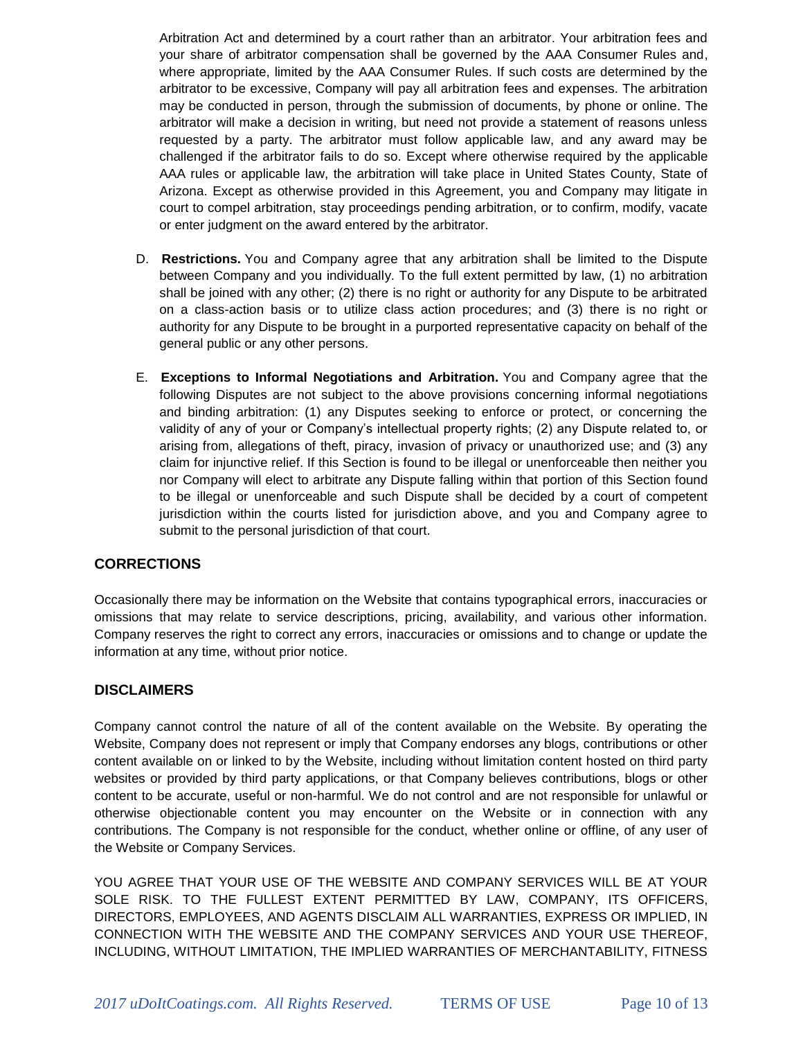Arbitration Act and determined by a court rather than an arbitrator. Your arbitration fees and your share of arbitrator compensation shall be governed by the AAA Consumer Rules and, where appropriate, limited by the AAA Consumer Rules. If such costs are determined by the arbitrator to be excessive, Company will pay all arbitration fees and expenses. The arbitration may be conducted in person, through the submission of documents, by phone or online. The arbitrator will make a decision in writing, but need not provide a statement of reasons unless requested by a party. The arbitrator must follow applicable law, and any award may be challenged if the arbitrator fails to do so. Except where otherwise required by the applicable AAA rules or applicable law, the arbitration will take place in United States County, State of Arizona. Except as otherwise provided in this Agreement, you and Company may litigate in court to compel arbitration, stay proceedings pending arbitration, or to confirm, modify, vacate or enter judgment on the award entered by the arbitrator.

- D. **Restrictions.** You and Company agree that any arbitration shall be limited to the Dispute between Company and you individually. To the full extent permitted by law, (1) no arbitration shall be joined with any other; (2) there is no right or authority for any Dispute to be arbitrated on a class-action basis or to utilize class action procedures; and (3) there is no right or authority for any Dispute to be brought in a purported representative capacity on behalf of the general public or any other persons.
- E. **Exceptions to Informal Negotiations and Arbitration.** You and Company agree that the following Disputes are not subject to the above provisions concerning informal negotiations and binding arbitration: (1) any Disputes seeking to enforce or protect, or concerning the validity of any of your or Company's intellectual property rights; (2) any Dispute related to, or arising from, allegations of theft, piracy, invasion of privacy or unauthorized use; and (3) any claim for injunctive relief. If this Section is found to be illegal or unenforceable then neither you nor Company will elect to arbitrate any Dispute falling within that portion of this Section found to be illegal or unenforceable and such Dispute shall be decided by a court of competent jurisdiction within the courts listed for jurisdiction above, and you and Company agree to submit to the personal jurisdiction of that court.

# **CORRECTIONS**

Occasionally there may be information on the Website that contains typographical errors, inaccuracies or omissions that may relate to service descriptions, pricing, availability, and various other information. Company reserves the right to correct any errors, inaccuracies or omissions and to change or update the information at any time, without prior notice.

## **DISCLAIMERS**

Company cannot control the nature of all of the content available on the Website. By operating the Website, Company does not represent or imply that Company endorses any blogs, contributions or other content available on or linked to by the Website, including without limitation content hosted on third party websites or provided by third party applications, or that Company believes contributions, blogs or other content to be accurate, useful or non-harmful. We do not control and are not responsible for unlawful or otherwise objectionable content you may encounter on the Website or in connection with any contributions. The Company is not responsible for the conduct, whether online or offline, of any user of the Website or Company Services.

YOU AGREE THAT YOUR USE OF THE WEBSITE AND COMPANY SERVICES WILL BE AT YOUR SOLE RISK. TO THE FULLEST EXTENT PERMITTED BY LAW, COMPANY, ITS OFFICERS, DIRECTORS, EMPLOYEES, AND AGENTS DISCLAIM ALL WARRANTIES, EXPRESS OR IMPLIED, IN CONNECTION WITH THE WEBSITE AND THE COMPANY SERVICES AND YOUR USE THEREOF, INCLUDING, WITHOUT LIMITATION, THE IMPLIED WARRANTIES OF MERCHANTABILITY, FITNESS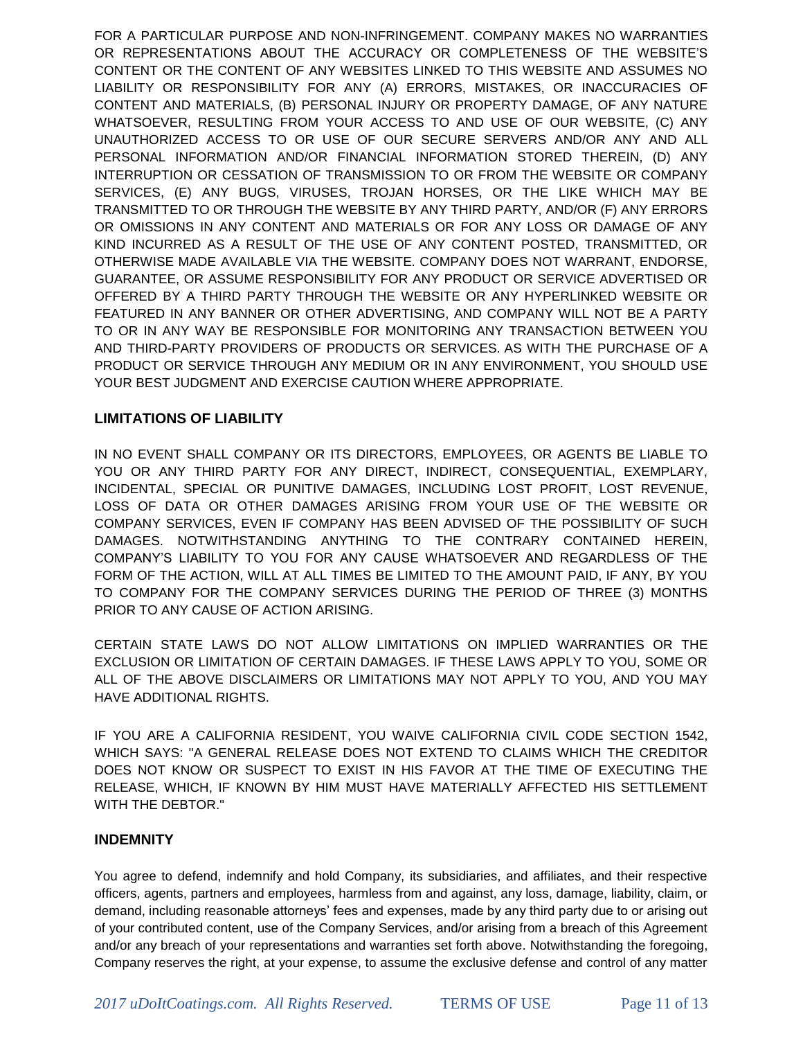FOR A PARTICULAR PURPOSE AND NON-INFRINGEMENT. COMPANY MAKES NO WARRANTIES OR REPRESENTATIONS ABOUT THE ACCURACY OR COMPLETENESS OF THE WEBSITE'S CONTENT OR THE CONTENT OF ANY WEBSITES LINKED TO THIS WEBSITE AND ASSUMES NO LIABILITY OR RESPONSIBILITY FOR ANY (A) ERRORS, MISTAKES, OR INACCURACIES OF CONTENT AND MATERIALS, (B) PERSONAL INJURY OR PROPERTY DAMAGE, OF ANY NATURE WHATSOEVER, RESULTING FROM YOUR ACCESS TO AND USE OF OUR WEBSITE, (C) ANY UNAUTHORIZED ACCESS TO OR USE OF OUR SECURE SERVERS AND/OR ANY AND ALL PERSONAL INFORMATION AND/OR FINANCIAL INFORMATION STORED THEREIN, (D) ANY INTERRUPTION OR CESSATION OF TRANSMISSION TO OR FROM THE WEBSITE OR COMPANY SERVICES, (E) ANY BUGS, VIRUSES, TROJAN HORSES, OR THE LIKE WHICH MAY BE TRANSMITTED TO OR THROUGH THE WEBSITE BY ANY THIRD PARTY, AND/OR (F) ANY ERRORS OR OMISSIONS IN ANY CONTENT AND MATERIALS OR FOR ANY LOSS OR DAMAGE OF ANY KIND INCURRED AS A RESULT OF THE USE OF ANY CONTENT POSTED, TRANSMITTED, OR OTHERWISE MADE AVAILABLE VIA THE WEBSITE. COMPANY DOES NOT WARRANT, ENDORSE, GUARANTEE, OR ASSUME RESPONSIBILITY FOR ANY PRODUCT OR SERVICE ADVERTISED OR OFFERED BY A THIRD PARTY THROUGH THE WEBSITE OR ANY HYPERLINKED WEBSITE OR FEATURED IN ANY BANNER OR OTHER ADVERTISING, AND COMPANY WILL NOT BE A PARTY TO OR IN ANY WAY BE RESPONSIBLE FOR MONITORING ANY TRANSACTION BETWEEN YOU AND THIRD-PARTY PROVIDERS OF PRODUCTS OR SERVICES. AS WITH THE PURCHASE OF A PRODUCT OR SERVICE THROUGH ANY MEDIUM OR IN ANY ENVIRONMENT, YOU SHOULD USE YOUR BEST JUDGMENT AND EXERCISE CAUTION WHERE APPROPRIATE.

## **LIMITATIONS OF LIABILITY**

IN NO EVENT SHALL COMPANY OR ITS DIRECTORS, EMPLOYEES, OR AGENTS BE LIABLE TO YOU OR ANY THIRD PARTY FOR ANY DIRECT, INDIRECT, CONSEQUENTIAL, EXEMPLARY, INCIDENTAL, SPECIAL OR PUNITIVE DAMAGES, INCLUDING LOST PROFIT, LOST REVENUE, LOSS OF DATA OR OTHER DAMAGES ARISING FROM YOUR USE OF THE WEBSITE OR COMPANY SERVICES, EVEN IF COMPANY HAS BEEN ADVISED OF THE POSSIBILITY OF SUCH DAMAGES. NOTWITHSTANDING ANYTHING TO THE CONTRARY CONTAINED HEREIN, COMPANY'S LIABILITY TO YOU FOR ANY CAUSE WHATSOEVER AND REGARDLESS OF THE FORM OF THE ACTION, WILL AT ALL TIMES BE LIMITED TO THE AMOUNT PAID, IF ANY, BY YOU TO COMPANY FOR THE COMPANY SERVICES DURING THE PERIOD OF THREE (3) MONTHS PRIOR TO ANY CAUSE OF ACTION ARISING.

CERTAIN STATE LAWS DO NOT ALLOW LIMITATIONS ON IMPLIED WARRANTIES OR THE EXCLUSION OR LIMITATION OF CERTAIN DAMAGES. IF THESE LAWS APPLY TO YOU, SOME OR ALL OF THE ABOVE DISCLAIMERS OR LIMITATIONS MAY NOT APPLY TO YOU, AND YOU MAY HAVE ADDITIONAL RIGHTS.

IF YOU ARE A CALIFORNIA RESIDENT, YOU WAIVE CALIFORNIA CIVIL CODE SECTION 1542, WHICH SAYS: "A GENERAL RELEASE DOES NOT EXTEND TO CLAIMS WHICH THE CREDITOR DOES NOT KNOW OR SUSPECT TO EXIST IN HIS FAVOR AT THE TIME OF EXECUTING THE RELEASE, WHICH, IF KNOWN BY HIM MUST HAVE MATERIALLY AFFECTED HIS SETTLEMENT WITH THE DEBTOR."

## **INDEMNITY**

You agree to defend, indemnify and hold Company, its subsidiaries, and affiliates, and their respective officers, agents, partners and employees, harmless from and against, any loss, damage, liability, claim, or demand, including reasonable attorneys' fees and expenses, made by any third party due to or arising out of your contributed content, use of the Company Services, and/or arising from a breach of this Agreement and/or any breach of your representations and warranties set forth above. Notwithstanding the foregoing, Company reserves the right, at your expense, to assume the exclusive defense and control of any matter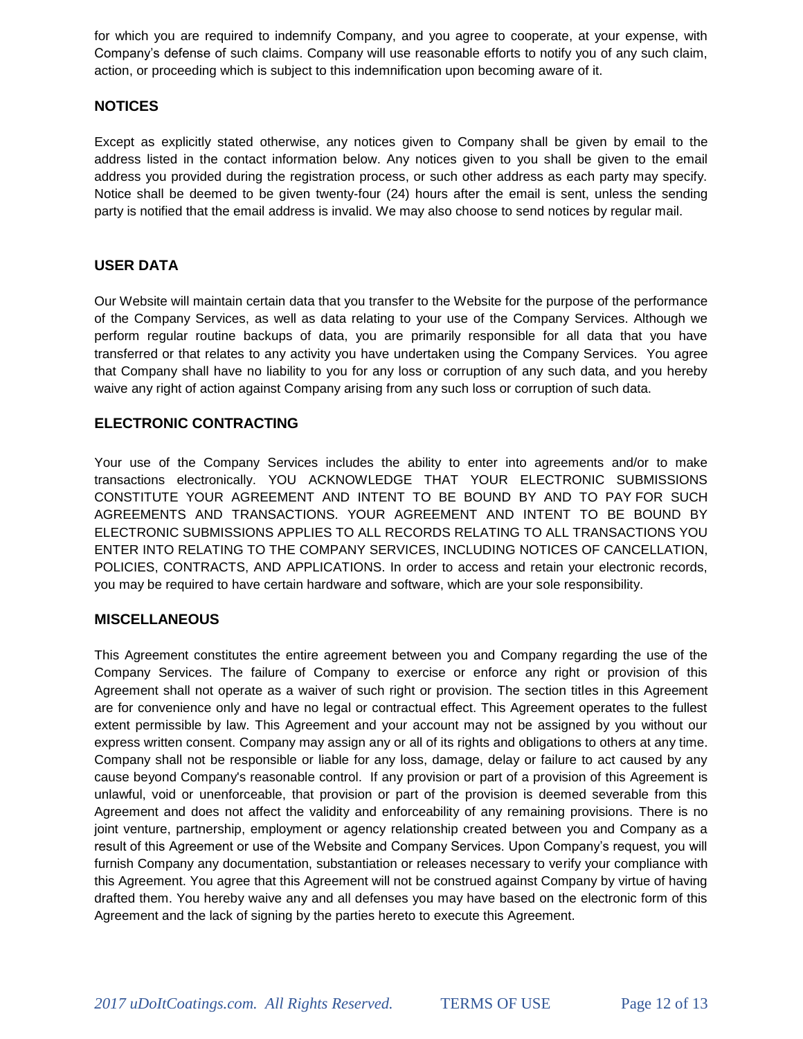for which you are required to indemnify Company, and you agree to cooperate, at your expense, with Company's defense of such claims. Company will use reasonable efforts to notify you of any such claim, action, or proceeding which is subject to this indemnification upon becoming aware of it.

## **NOTICES**

Except as explicitly stated otherwise, any notices given to Company shall be given by email to the address listed in the contact information below. Any notices given to you shall be given to the email address you provided during the registration process, or such other address as each party may specify. Notice shall be deemed to be given twenty-four (24) hours after the email is sent, unless the sending party is notified that the email address is invalid. We may also choose to send notices by regular mail.

# **USER DATA**

Our Website will maintain certain data that you transfer to the Website for the purpose of the performance of the Company Services, as well as data relating to your use of the Company Services. Although we perform regular routine backups of data, you are primarily responsible for all data that you have transferred or that relates to any activity you have undertaken using the Company Services. You agree that Company shall have no liability to you for any loss or corruption of any such data, and you hereby waive any right of action against Company arising from any such loss or corruption of such data.

## **ELECTRONIC CONTRACTING**

Your use of the Company Services includes the ability to enter into agreements and/or to make transactions electronically. YOU ACKNOWLEDGE THAT YOUR ELECTRONIC SUBMISSIONS CONSTITUTE YOUR AGREEMENT AND INTENT TO BE BOUND BY AND TO PAY FOR SUCH AGREEMENTS AND TRANSACTIONS. YOUR AGREEMENT AND INTENT TO BE BOUND BY ELECTRONIC SUBMISSIONS APPLIES TO ALL RECORDS RELATING TO ALL TRANSACTIONS YOU ENTER INTO RELATING TO THE COMPANY SERVICES, INCLUDING NOTICES OF CANCELLATION, POLICIES, CONTRACTS, AND APPLICATIONS. In order to access and retain your electronic records, you may be required to have certain hardware and software, which are your sole responsibility.

## **MISCELLANEOUS**

This Agreement constitutes the entire agreement between you and Company regarding the use of the Company Services. The failure of Company to exercise or enforce any right or provision of this Agreement shall not operate as a waiver of such right or provision. The section titles in this Agreement are for convenience only and have no legal or contractual effect. This Agreement operates to the fullest extent permissible by law. This Agreement and your account may not be assigned by you without our express written consent. Company may assign any or all of its rights and obligations to others at any time. Company shall not be responsible or liable for any loss, damage, delay or failure to act caused by any cause beyond Company's reasonable control. If any provision or part of a provision of this Agreement is unlawful, void or unenforceable, that provision or part of the provision is deemed severable from this Agreement and does not affect the validity and enforceability of any remaining provisions. There is no joint venture, partnership, employment or agency relationship created between you and Company as a result of this Agreement or use of the Website and Company Services. Upon Company's request, you will furnish Company any documentation, substantiation or releases necessary to verify your compliance with this Agreement. You agree that this Agreement will not be construed against Company by virtue of having drafted them. You hereby waive any and all defenses you may have based on the electronic form of this Agreement and the lack of signing by the parties hereto to execute this Agreement.